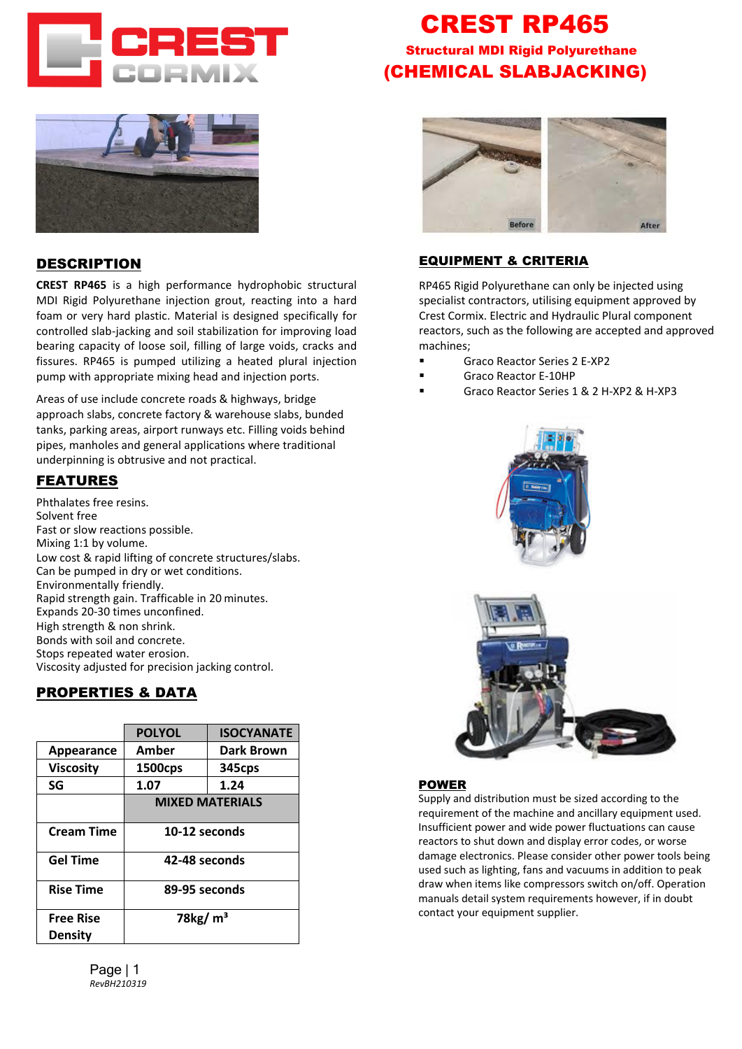



#### DESCRIPTION

**CREST RP465** is a high performance hydrophobic structural MDI Rigid Polyurethane injection grout, reacting into a hard foam or very hard plastic. Material is designed specifically for controlled slab-jacking and soil stabilization for improving load bearing capacity of loose soil, filling of large voids, cracks and fissures. RP465 is pumped utilizing a heated plural injection pump with appropriate mixing head and injection ports.

Areas of use include concrete roads & highways, bridge approach slabs, concrete factory & warehouse slabs, bunded tanks, parking areas, airport runways etc. Filling voids behind pipes, manholes and general applications where traditional underpinning is obtrusive and not practical.

## FEATURES

Phthalates free resins. Solvent free Fast or slow reactions possible. Mixing 1:1 by volume. Low cost & rapid lifting of concrete structures/slabs. Can be pumped in dry or wet conditions. Environmentally friendly. Rapid strength gain. Trafficable in 20 minutes. Expands 20-30 times unconfined. High strength & non shrink. Bonds with soil and concrete. Stops repeated water erosion. Viscosity adjusted for precision jacking control.

## PROPERTIES & DATA

|                                    | <b>POLYOL</b>          | <b>ISOCYANATE</b> |
|------------------------------------|------------------------|-------------------|
| Appearance                         | Amber                  | <b>Dark Brown</b> |
| <b>Viscosity</b>                   | 1500cps                | 345cps            |
| SG                                 | 1.07                   | 1.24              |
|                                    | <b>MIXED MATERIALS</b> |                   |
| <b>Cream Time</b>                  | 10-12 seconds          |                   |
| <b>Gel Time</b>                    | 42-48 seconds          |                   |
| <b>Rise Time</b>                   | 89-95 seconds          |                   |
| <b>Free Rise</b><br><b>Density</b> | 78 $kg/m3$             |                   |

# CREST RP465 Structural MDI Rigid Polyurethane (CHEMICAL SLABJACKING)



#### EQUIPMENT & CRITERIA

RP465 Rigid Polyurethane can only be injected using specialist contractors, utilising equipment approved by Crest Cormix. Electric and Hydraulic Plural component reactors, such as the following are accepted and approved machines;

- Graco Reactor Series 2 E-XP2
- Graco Reactor E-10HP
- Graco Reactor Series 1 & 2 H-XP2 & H-XP3





#### POWER

[Supply and distribution must](mailto:enquiries@crestcormix.com.au) be sized according to the requirement of the machine and ancillary equipment used. Insufficient power and wide power fluctuations can cause reactors to shut down and display error codes, or worse damage electronics. Please consider other power tools being used such as lighting, fans and vacuums in addition to peak draw when items like compressors switch on/off. Operation manuals detail system requirements however, if in doubt contact your equipment supplier.